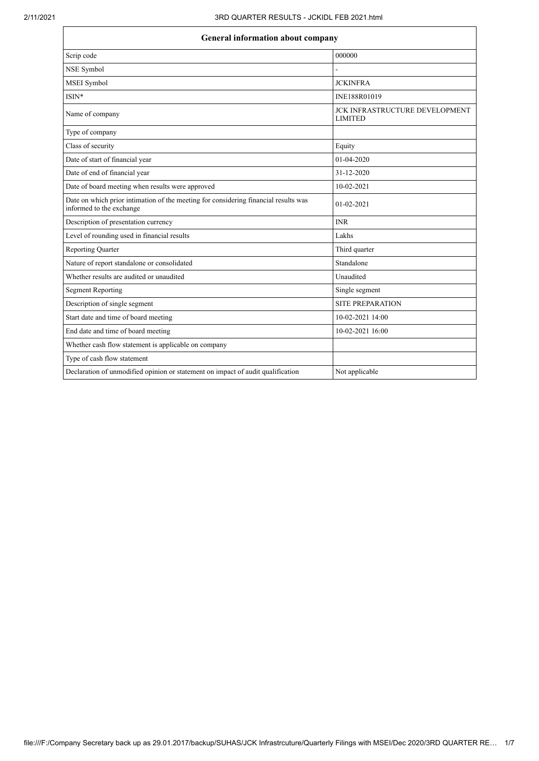## **General information about company**

| 000000                                           |  |  |  |
|--------------------------------------------------|--|--|--|
|                                                  |  |  |  |
| <b>JCKINFRA</b>                                  |  |  |  |
| INE188R01019                                     |  |  |  |
| JCK INFRASTRUCTURE DEVELOPMENT<br><b>LIMITED</b> |  |  |  |
|                                                  |  |  |  |
| Equity                                           |  |  |  |
| 01-04-2020                                       |  |  |  |
| 31-12-2020                                       |  |  |  |
| 10-02-2021                                       |  |  |  |
| 01-02-2021                                       |  |  |  |
| <b>INR</b>                                       |  |  |  |
| Lakhs                                            |  |  |  |
| Third quarter                                    |  |  |  |
| Standalone                                       |  |  |  |
| Unaudited                                        |  |  |  |
| Single segment                                   |  |  |  |
| <b>SITE PREPARATION</b>                          |  |  |  |
| 10-02-2021 14:00                                 |  |  |  |
| 10-02-2021 16:00                                 |  |  |  |
|                                                  |  |  |  |
|                                                  |  |  |  |
| Not applicable                                   |  |  |  |
|                                                  |  |  |  |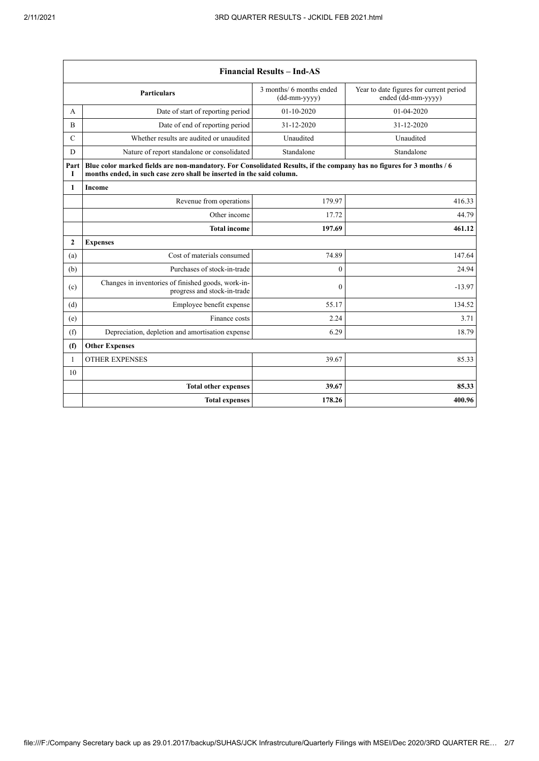| <b>Financial Results - Ind-AS</b> |                                                                                                                                                                                               |                                          |                                                               |
|-----------------------------------|-----------------------------------------------------------------------------------------------------------------------------------------------------------------------------------------------|------------------------------------------|---------------------------------------------------------------|
|                                   | <b>Particulars</b>                                                                                                                                                                            | 3 months/ 6 months ended<br>(dd-mm-yyyy) | Year to date figures for current period<br>ended (dd-mm-yyyy) |
| А                                 | Date of start of reporting period                                                                                                                                                             | $01-10-2020$                             | 01-04-2020                                                    |
| B                                 | Date of end of reporting period                                                                                                                                                               | 31-12-2020                               | 31-12-2020                                                    |
| $\mathcal{C}$                     | Whether results are audited or unaudited                                                                                                                                                      | Unaudited                                | Unaudited                                                     |
| D                                 | Nature of report standalone or consolidated                                                                                                                                                   | Standalone                               | Standalone                                                    |
| Part<br>1                         | Blue color marked fields are non-mandatory. For Consolidated Results, if the company has no figures for 3 months / 6<br>months ended, in such case zero shall be inserted in the said column. |                                          |                                                               |
| 1                                 | Income                                                                                                                                                                                        |                                          |                                                               |
|                                   | Revenue from operations                                                                                                                                                                       | 179.97                                   | 416.33                                                        |
|                                   | Other income                                                                                                                                                                                  | 17.72                                    | 44.79                                                         |
|                                   | <b>Total income</b>                                                                                                                                                                           | 197.69                                   | 461.12                                                        |
| $\overline{2}$                    | <b>Expenses</b>                                                                                                                                                                               |                                          |                                                               |
| (a)                               | Cost of materials consumed                                                                                                                                                                    | 74.89                                    | 147.64                                                        |
| (b)                               | Purchases of stock-in-trade                                                                                                                                                                   | $\theta$                                 | 24.94                                                         |
| (c)                               | Changes in inventories of finished goods, work-in-<br>progress and stock-in-trade                                                                                                             | $\theta$                                 | $-13.97$                                                      |
| (d)                               | Employee benefit expense                                                                                                                                                                      | 55.17                                    | 134.52                                                        |
| (e)                               | Finance costs                                                                                                                                                                                 | 2.24                                     | 3.71                                                          |
| (f)                               | Depreciation, depletion and amortisation expense                                                                                                                                              | 6.29                                     | 18.79                                                         |
| (f)                               | <b>Other Expenses</b>                                                                                                                                                                         |                                          |                                                               |
| $\mathbf{1}$                      | <b>OTHER EXPENSES</b>                                                                                                                                                                         | 39.67                                    | 85.33                                                         |
| 10                                |                                                                                                                                                                                               |                                          |                                                               |
|                                   | <b>Total other expenses</b>                                                                                                                                                                   | 39.67                                    | 85.33                                                         |
|                                   | <b>Total expenses</b>                                                                                                                                                                         | 178.26                                   | 400.96                                                        |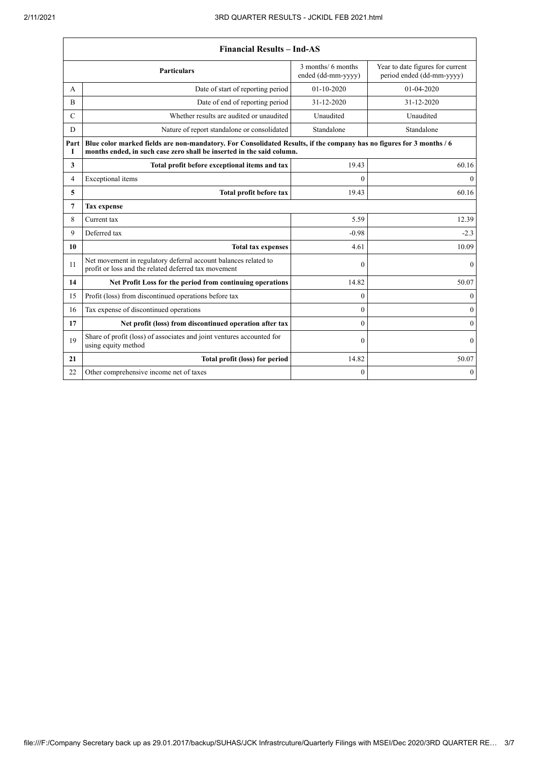$\mathsf{r}$ 

 $\overline{\mathsf{L}}$ 

|               | <b>Financial Results - Ind-AS</b>                                                                                                                                                             |                                          |                                                               |  |
|---------------|-----------------------------------------------------------------------------------------------------------------------------------------------------------------------------------------------|------------------------------------------|---------------------------------------------------------------|--|
|               | <b>Particulars</b>                                                                                                                                                                            | 3 months/ 6 months<br>ended (dd-mm-yyyy) | Year to date figures for current<br>period ended (dd-mm-yyyy) |  |
| A             | Date of start of reporting period                                                                                                                                                             | $01 - 10 - 2020$                         | $01-04-2020$                                                  |  |
| B             | Date of end of reporting period                                                                                                                                                               | 31-12-2020                               | 31-12-2020                                                    |  |
| $\mathcal{C}$ | Whether results are audited or unaudited                                                                                                                                                      | Unaudited                                | Unaudited                                                     |  |
| D             | Nature of report standalone or consolidated                                                                                                                                                   | Standalone                               | Standalone                                                    |  |
| Part<br>I     | Blue color marked fields are non-mandatory. For Consolidated Results, if the company has no figures for 3 months / 6<br>months ended, in such case zero shall be inserted in the said column. |                                          |                                                               |  |
| 3             | Total profit before exceptional items and tax                                                                                                                                                 | 19.43                                    | 60.16                                                         |  |
| 4             | Exceptional items                                                                                                                                                                             | $\theta$                                 | $\overline{0}$                                                |  |
| 5             | Total profit before tax                                                                                                                                                                       | 19.43                                    | 60.16                                                         |  |
| 7             | <b>Tax expense</b>                                                                                                                                                                            |                                          |                                                               |  |
| 8             | Current tax                                                                                                                                                                                   | 5.59                                     | 12.39                                                         |  |
| 9             | Deferred tax                                                                                                                                                                                  | $-0.98$                                  | $-2.3$                                                        |  |
| 10            | <b>Total tax expenses</b>                                                                                                                                                                     | 4.61                                     | 10.09                                                         |  |
| 11            | Net movement in regulatory deferral account balances related to<br>profit or loss and the related deferred tax movement                                                                       | $\mathbf{0}$                             | $\mathbf{0}$                                                  |  |
| 14            | Net Profit Loss for the period from continuing operations                                                                                                                                     | 14.82                                    | 50.07                                                         |  |
| 15            | Profit (loss) from discontinued operations before tax                                                                                                                                         | $\theta$                                 | $\mathbf{0}$                                                  |  |
| 16            | Tax expense of discontinued operations                                                                                                                                                        | $\mathbf{0}$                             | $\boldsymbol{0}$                                              |  |
| 17            | Net profit (loss) from discontinued operation after tax                                                                                                                                       | $\theta$                                 | $\theta$                                                      |  |
| 19            | Share of profit (loss) of associates and joint ventures accounted for<br>using equity method                                                                                                  | $\mathbf{0}$                             | $\boldsymbol{0}$                                              |  |
| 21            | Total profit (loss) for period                                                                                                                                                                | 14.82                                    | 50.07                                                         |  |
| 22            | Other comprehensive income net of taxes                                                                                                                                                       | $\mathbf{0}$                             | $\boldsymbol{0}$                                              |  |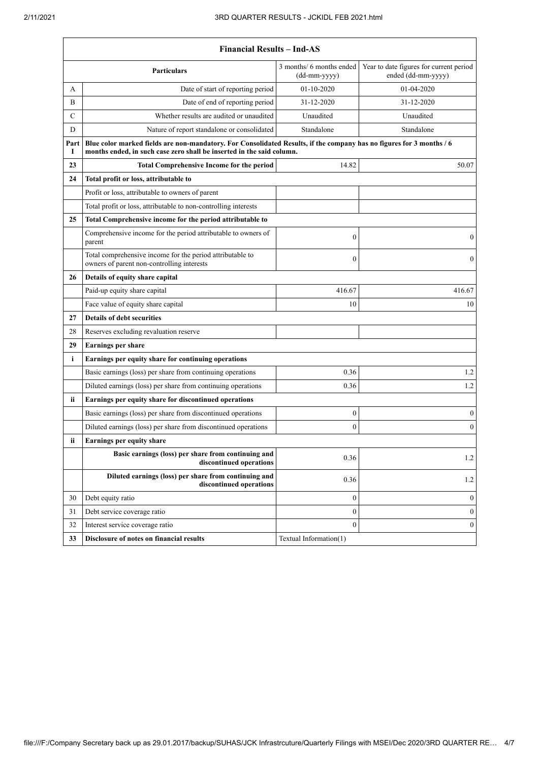$\overline{\phantom{a}}$ 

٦

|                                                                 | <b>Financial Results - Ind-AS</b>                                                                                                                                                             |                                            |                                                               |  |
|-----------------------------------------------------------------|-----------------------------------------------------------------------------------------------------------------------------------------------------------------------------------------------|--------------------------------------------|---------------------------------------------------------------|--|
|                                                                 | <b>Particulars</b>                                                                                                                                                                            | 3 months/ 6 months ended<br>$(dd-mm-yyyy)$ | Year to date figures for current period<br>ended (dd-mm-yyyy) |  |
| А                                                               | Date of start of reporting period                                                                                                                                                             | $01-10-2020$                               | 01-04-2020                                                    |  |
| B                                                               | Date of end of reporting period                                                                                                                                                               | 31-12-2020                                 | 31-12-2020                                                    |  |
| $\mathsf{C}$                                                    | Whether results are audited or unaudited                                                                                                                                                      | Unaudited                                  | Unaudited                                                     |  |
| D                                                               | Nature of report standalone or consolidated                                                                                                                                                   | Standalone                                 | Standalone                                                    |  |
| Part<br>1                                                       | Blue color marked fields are non-mandatory. For Consolidated Results, if the company has no figures for 3 months / 6<br>months ended, in such case zero shall be inserted in the said column. |                                            |                                                               |  |
| 23                                                              | <b>Total Comprehensive Income for the period</b>                                                                                                                                              | 14.82                                      | 50.07                                                         |  |
| Total profit or loss, attributable to<br>24                     |                                                                                                                                                                                               |                                            |                                                               |  |
|                                                                 | Profit or loss, attributable to owners of parent                                                                                                                                              |                                            |                                                               |  |
|                                                                 | Total profit or loss, attributable to non-controlling interests                                                                                                                               |                                            |                                                               |  |
| 25<br>Total Comprehensive income for the period attributable to |                                                                                                                                                                                               |                                            |                                                               |  |
|                                                                 | Comprehensive income for the period attributable to owners of<br>parent                                                                                                                       | $\mathbf{0}$                               | $\mathbf{0}$                                                  |  |
|                                                                 | Total comprehensive income for the period attributable to<br>owners of parent non-controlling interests                                                                                       | $\theta$                                   | $\boldsymbol{0}$                                              |  |
| Details of equity share capital<br>26                           |                                                                                                                                                                                               |                                            |                                                               |  |
|                                                                 | Paid-up equity share capital                                                                                                                                                                  | 416.67                                     | 416.67                                                        |  |
|                                                                 | Face value of equity share capital                                                                                                                                                            | 10                                         | 10                                                            |  |
| 27                                                              | <b>Details of debt securities</b>                                                                                                                                                             |                                            |                                                               |  |
| 28                                                              | Reserves excluding revaluation reserve                                                                                                                                                        |                                            |                                                               |  |
| 29                                                              | <b>Earnings per share</b>                                                                                                                                                                     |                                            |                                                               |  |
| i                                                               | Earnings per equity share for continuing operations                                                                                                                                           |                                            |                                                               |  |
|                                                                 | Basic earnings (loss) per share from continuing operations                                                                                                                                    | 0.36                                       | 1.2                                                           |  |
|                                                                 | Diluted earnings (loss) per share from continuing operations                                                                                                                                  | 0.36                                       | 1.2                                                           |  |
| Earnings per equity share for discontinued operations<br>ii.    |                                                                                                                                                                                               |                                            |                                                               |  |
|                                                                 | Basic earnings (loss) per share from discontinued operations                                                                                                                                  | 0                                          | $\boldsymbol{0}$                                              |  |
|                                                                 | Diluted earnings (loss) per share from discontinued operations                                                                                                                                | $\boldsymbol{0}$                           | $\mathbf{0}$                                                  |  |
| Earnings per equity share<br>ii.                                |                                                                                                                                                                                               |                                            |                                                               |  |
|                                                                 | Basic earnings (loss) per share from continuing and<br>discontinued operations                                                                                                                | 0.36                                       | 1.2                                                           |  |
|                                                                 | Diluted earnings (loss) per share from continuing and<br>discontinued operations                                                                                                              | 0.36                                       | 1.2                                                           |  |
| 30                                                              | Debt equity ratio                                                                                                                                                                             | $\boldsymbol{0}$                           | $\boldsymbol{0}$                                              |  |
| 31                                                              | Debt service coverage ratio                                                                                                                                                                   | $\boldsymbol{0}$                           | $\boldsymbol{0}$                                              |  |
| 32                                                              | Interest service coverage ratio                                                                                                                                                               | $\mathbf{0}$                               | $\boldsymbol{0}$                                              |  |
| 33                                                              | Disclosure of notes on financial results                                                                                                                                                      | Textual Information(1)                     |                                                               |  |
|                                                                 |                                                                                                                                                                                               |                                            |                                                               |  |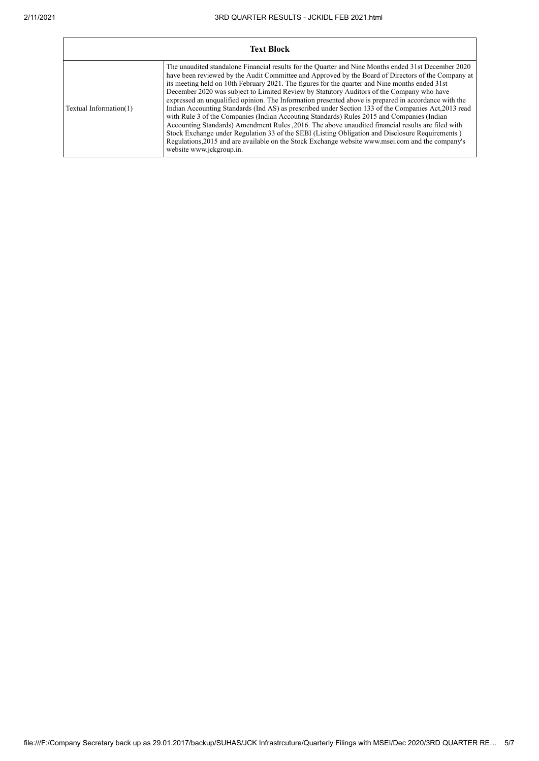$\mathbf{r}$ 

| <b>Text Block</b>      |                                                                                                                                                                                                                                                                                                                                                                                                                                                                                                                                                                                                                                                                                                                                                                                                                                                                                                                                                                                                                                                                 |  |  |
|------------------------|-----------------------------------------------------------------------------------------------------------------------------------------------------------------------------------------------------------------------------------------------------------------------------------------------------------------------------------------------------------------------------------------------------------------------------------------------------------------------------------------------------------------------------------------------------------------------------------------------------------------------------------------------------------------------------------------------------------------------------------------------------------------------------------------------------------------------------------------------------------------------------------------------------------------------------------------------------------------------------------------------------------------------------------------------------------------|--|--|
| Textual Information(1) | The unaudited standalone Financial results for the Quarter and Nine Months ended 31st December 2020<br>have been reviewed by the Audit Committee and Approved by the Board of Directors of the Company at<br>its meeting held on 10th February 2021. The figures for the quarter and Nine months ended 31st<br>December 2020 was subject to Limited Review by Statutory Auditors of the Company who have<br>expressed an unqualified opinion. The Information presented above is prepared in accordance with the<br>Indian Accounting Standards (Ind AS) as prescribed under Section 133 of the Companies Act, 2013 read<br>with Rule 3 of the Companies (Indian Accouting Standards) Rules 2015 and Companies (Indian<br>Accounting Standards) Amendment Rules , 2016. The above unaudited financial results are filed with<br>Stock Exchange under Regulation 33 of the SEBI (Listing Obligation and Disclosure Requirements)<br>Regulations, 2015 and are available on the Stock Exchange website www.msei.com and the company's<br>website www.jckgroup.in. |  |  |